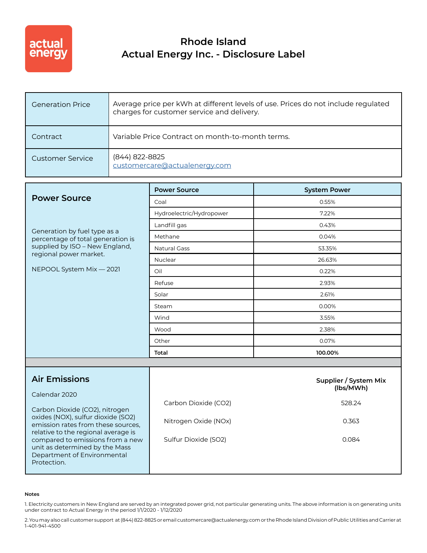

## **Rhode Island Actual Energy Inc. - Disclosure Label**

| <b>Generation Price</b> | Average price per kWh at different levels of use. Prices do not include regulated<br>charges for customer service and delivery. |
|-------------------------|---------------------------------------------------------------------------------------------------------------------------------|
| Contract                | Variable Price Contract on month-to-month terms.                                                                                |
| Customer Service        | (844) 822-8825<br>customercare@actualenergy.com                                                                                 |

|                                                                                                                               | <b>Power Source</b>      | <b>System Power</b>                |
|-------------------------------------------------------------------------------------------------------------------------------|--------------------------|------------------------------------|
| <b>Power Source</b>                                                                                                           | Coal                     | 0.55%                              |
|                                                                                                                               | Hydroelectric/Hydropower | 7.22%                              |
| Generation by fuel type as a<br>percentage of total generation is<br>supplied by ISO - New England,<br>regional power market. | Landfill gas             | 0.43%                              |
|                                                                                                                               | Methane                  | 0.04%                              |
|                                                                                                                               | <b>Natural Gass</b>      | 53.35%                             |
|                                                                                                                               | Nuclear                  | 26.63%                             |
| NEPOOL System Mix - 2021                                                                                                      | Oil                      | 0.22%                              |
|                                                                                                                               | Refuse                   | 2.93%                              |
|                                                                                                                               | Solar                    | 2.61%                              |
|                                                                                                                               | Steam                    | 0.00%                              |
|                                                                                                                               | Wind                     | 3.55%                              |
|                                                                                                                               | Wood                     | 2.38%                              |
|                                                                                                                               | Other                    | 0.07%                              |
|                                                                                                                               | Total                    | 100.00%                            |
|                                                                                                                               |                          |                                    |
| <b>Air Emissions</b>                                                                                                          |                          | Supplier / System Mix<br>(lbs/MWh) |

| Calendar 2020                                                                                             |                      |        |
|-----------------------------------------------------------------------------------------------------------|----------------------|--------|
| Carbon Dioxide (CO2), nitrogen                                                                            | Carbon Dioxide (CO2) | 528.24 |
| oxides (NOX), sulfur dioxide (SO2)<br>emission rates from these sources,                                  | Nitrogen Oxide (NOx) | 0.363  |
| relative to the regional average is<br>compared to emissions from a new<br>unit as determined by the Mass | Sulfur Dioxide (SO2) | 0.084  |
| Department of Environmental<br>Protection.                                                                |                      |        |

## **Notes**

1. Electricity customers in New England are served by an integrated power grid, not particular generating units. The above information is on generating units under contract to Actual Energy in the period 1/1/2020 - 1/12/2020

2. You may also call customer support at (844) 822-8825 or email customercare@actualenergy.com or the Rhode Island Division of Public Utilities and Carrier at 1-401-941-4500